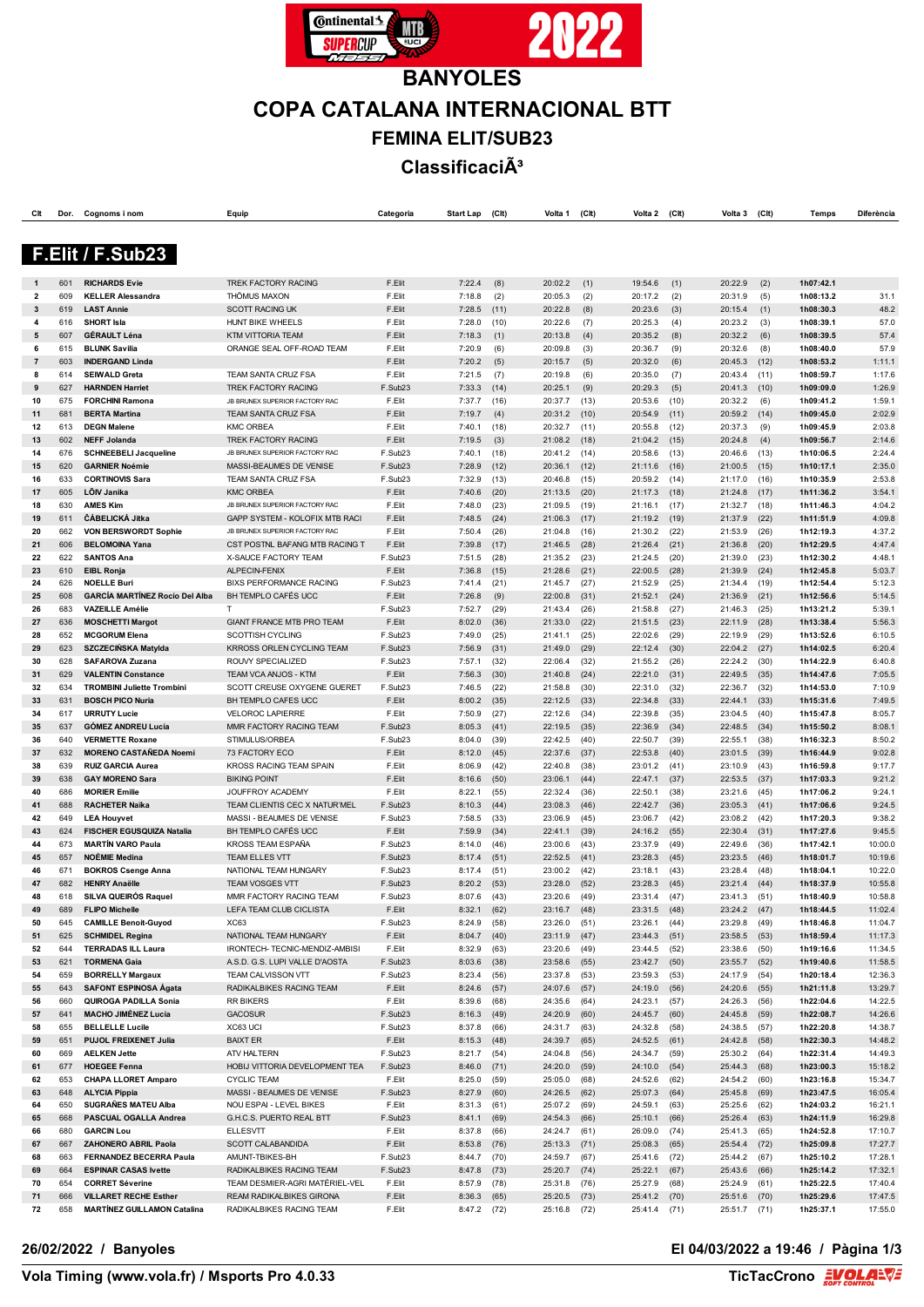

# **BANYOLES COPA CATALANA INTERNACIONAL BTT FEMINA ELIT/SUB23 Classificació**

| СIt            | Dor.       | Cognoms i nom                                          | Equip                                                            | Categoria          | <b>Start Lap</b> | (C <sub>l</sub> ) | Volta 1            | (C <sup>H</sup> ) | Volta 2            | (C <sub>l</sub> ) | Volta 3                 | (C <sup>h</sup> ) | <b>Temps</b>           | Diferència         |
|----------------|------------|--------------------------------------------------------|------------------------------------------------------------------|--------------------|------------------|-------------------|--------------------|-------------------|--------------------|-------------------|-------------------------|-------------------|------------------------|--------------------|
|                |            |                                                        |                                                                  |                    |                  |                   |                    |                   |                    |                   |                         |                   |                        |                    |
|                |            |                                                        |                                                                  |                    |                  |                   |                    |                   |                    |                   |                         |                   |                        |                    |
|                |            | F.Elit / F.Sub23                                       |                                                                  |                    |                  |                   |                    |                   |                    |                   |                         |                   |                        |                    |
|                |            |                                                        |                                                                  |                    |                  |                   |                    |                   |                    |                   |                         |                   |                        |                    |
| $\overline{2}$ | 601<br>609 | <b>RICHARDS Evie</b><br><b>KELLER Alessandra</b>       | TREK FACTORY RACING<br><b>THÖMUS MAXON</b>                       | F.Elit<br>F.Elit   | 7:22.4<br>7:18.8 | (8)<br>(2)        | 20:02.2<br>20:05.3 | (1)<br>(2)        | 19:54.6<br>20:17.2 | (1)<br>(2)        | 20:22.9<br>20:31.9      | (2)<br>(5)        | 1h07:42.1<br>1h08:13.2 | 31.1               |
| 3              | 619        | <b>LAST Annie</b>                                      | <b>SCOTT RACING UK</b>                                           | F.Elit             | 7:28.5           | (11)              | 20:22.8            | (8)               | 20:23.6            | (3)               | 20:15.4                 | (1)               | 1h08:30.3              | 48.2               |
| 4              | 616        | <b>SHORT Isla</b>                                      | HUNT BIKE WHEELS                                                 | F.Elit             | 7:28.0           | (10)              | 20:22.6            | (7)               | 20:25.3            | (4)               | 20:23.2                 | (3)               | 1h08:39.1              | 57.0               |
| 5              | 607        | <b>GÉRAULT Léna</b>                                    | KTM VITTORIA TEAM                                                | F.Elit             | 7:18.3           | (1)               | 20:13.8            | (4)               | 20:35.2            | (8)               | 20:32.2                 | (6)               | 1h08:39.5              | 57.4               |
| 6              | 615        | <b>BLUNK Savilia</b>                                   | ORANGE SEAL OFF-ROAD TEAM                                        | F.Elit             | 7:20.9           | (6)               | 20:09.8            | (3)               | 20:36.7            | (9)               | 20:32.6                 | (8)               | 1h08:40.0              | 57.9               |
| $\overline{7}$ | 603        | <b>INDERGAND Linda</b>                                 |                                                                  | F.Elit             | 7:20.2           | (5)               | 20:15.7            | (5)               | 20:32.0            | (6)               | 20:45.3                 | (12)              | 1h08:53.2              | 1:11.1             |
| 8              | 614        | <b>SEIWALD Greta</b>                                   | TEAM SANTA CRUZ FSA                                              | F.Elit             | 7:21.5           | (7)               | 20:19.8            | (6)               | 20:35.0            | (7)               | 20:43.4                 | (11)              | 1h08:59.7              | 1:17.6             |
| 9<br>10        | 627<br>675 | <b>HARNDEN Harriet</b><br><b>FORCHINI Ramona</b>       | <b>TREK FACTORY RACING</b><br>JB BRUNEX SUPERIOR FACTORY RAC     | F.Sub23<br>F.Elit  | 7:33.3<br>7:37.7 | (14)<br>(16)      | 20:25.1<br>20:37.7 | (9)<br>(13)       | 20:29.3<br>20:53.6 | (5)<br>(10)       | 20:41.3<br>20:32.2      | (10)              | 1h09:09.0<br>1h09:41.2 | 1:26.9<br>1:59.1   |
| 11             | 681        | <b>BERTA Martina</b>                                   | <b>TEAM SANTA CRUZ FSA</b>                                       | F.Elit             | 7:19.7           | (4)               | 20:31.2            | (10)              | 20:54.9            | (11)              | 20:59.2                 | (6)<br>(14)       | 1h09:45.0              | 2:02.9             |
| 12             | 613        | <b>DEGN Malene</b>                                     | <b>KMC ORBEA</b>                                                 | F.Elit             | 7:40.1           | (18)              | 20:32.7            | (11)              | 20:55.8            | (12)              | 20:37.3                 | (9)               | 1h09:45.9              | 2:03.8             |
| 13             | 602        | <b>NEFF Jolanda</b>                                    | <b>TREK FACTORY RACING</b>                                       | F.Elit             | 7:19.5           | (3)               | 21:08.2            | (18)              | 21:04.2            | (15)              | 20:24.8                 | (4)               | 1h09:56.7              | 2:14.6             |
| 14             | 676        | <b>SCHNEEBELI Jacqueline</b>                           | JB BRUNEX SUPERIOR FACTORY RAC                                   | F.Sub23            | 7:40.1           | (18)              | 20:41.2            | (14)              | 20:58.6            | (13)              | 20:46.6                 | (13)              | 1h10:06.5              | 2:24.4             |
| 15             | 620        | <b>GARNIER Noémie</b>                                  | MASSI-BEAUMES DE VENISE                                          | F.Sub23            | 7:28.9           | (12)              | 20:36.1            | (12)              | 21:11.6            | (16)              | 21:00.5                 | (15)              | 1h10:17.1              | 2:35.0             |
| 16             | 633        | <b>CORTINOVIS Sara</b>                                 | TEAM SANTA CRUZ FSA                                              | F.Sub23            | 7:32.9           | (13)              | 20:46.8            | (15)              | 20:59.2            | (14)              | 21:17.0                 | (16)              | 1h10:35.9              | 2:53.8             |
| 17             | 605        | LÕIV Janika                                            | <b>KMC ORBEA</b>                                                 | F.Elit             | 7:40.6           | (20)              | 21:13.5            | (20)              | 21:17.3            | (18)              | 21:24.8                 | (17)              | 1h11:36.2              | 3:54.1             |
| 18             | 630        | <b>AMES Kim</b>                                        | JB BRUNEX SUPERIOR FACTORY RAC                                   | F.Elit<br>F.Elit   | 7:48.0           | (23)              | 21:09.5            | (19)              | 21:16.1            | (17)              | 21:32.7                 | (18)              | 1h11:46.3              | 4:04.2<br>4:09.8   |
| 19<br>20       | 611<br>662 | ČÁBELICKÁ Jitka<br>VON BERSWORDT Sophie                | GAPP SYSTEM - KOLOFIX MTB RACI<br>JB BRUNEX SUPERIOR FACTORY RAC | F.Elit             | 7:48.5<br>7:50.4 | (24)<br>(26)      | 21:06.3<br>21:04.8 | (17)<br>(16)      | 21:19.2<br>21:30.2 | (19)<br>(22)      | 21:37.9<br>21:53.9      | (22)<br>(26)      | 1h11:51.9<br>1h12:19.3 | 4:37.2             |
| 21             | 606        | <b>BELOMOINA Yana</b>                                  | CST POSTNL BAFANG MTB RACING T                                   | F.Elit             | 7:39.8           | (17)              | 21:46.5            | (28)              | 21:26.4            | (21)              | 21:36.8                 | (20)              | 1h12:29.5              | 4:47.4             |
| 22             | 622        | <b>SANTOS Ana</b>                                      | X-SAUCE FACTORY TEAM                                             | F.Sub23            | 7:51.5           | (28)              | 21:35.2            | (23)              | 21:24.5            | (20)              | 21:39.0                 | (23)              | 1h12:30.2              | 4:48.1             |
| 23             | 610        | <b>EIBL Ronja</b>                                      | ALPECIN-FENIX                                                    | F.Elit             | 7:36.8           | (15)              | 21:28.6            | (21)              | 22:00.5            | (28)              | 21:39.9                 | (24)              | 1h12:45.8              | 5:03.7             |
| 24             | 626        | <b>NOELLE Buri</b>                                     | <b>BIXS PERFORMANCE RACING</b>                                   | F.Sub23            | 7:41.4           | (21)              | 21:45.7            | (27)              | 21:52.9            | (25)              | 21:34.4                 | (19)              | 1h12:54.4              | 5:12.3             |
| 25             | 608        | <b>GARCÍA MARTÍNEZ Rocío Del Alba</b>                  | BH TEMPLO CAFÉS UCC                                              | F.Elit             | 7:26.8           | (9)               | 22:00.8            | (31)              | 21:52.1            | (24)              | 21:36.9                 | (21)              | 1h12:56.6              | 5:14.5             |
| 26             | 683        | <b>VAZEILLE Amélie</b>                                 | T.                                                               | F.Sub23            | 7:52.7           | (29)              | 21:43.4            | (26)              | 21:58.8            | (27)              | 21:46.3                 | (25)              | 1h13:21.2              | 5:39.1             |
| 27             | 636        | <b>MOSCHETTI Margot</b>                                | <b>GIANT FRANCE MTB PRO TEAM</b>                                 | F.Elit             | 8:02.0           | (36)              | 21:33.0            | (22)              | 21:51.5            | (23)              | 22:11.9                 | (28)              | 1h13:38.4              | 5:56.3             |
| 28             | 652        | <b>MCGORUM Elena</b>                                   | <b>SCOTTISH CYCLING</b>                                          | F.Sub23            | 7:49.0           | (25)              | 21:41.1            | (25)              | 22:02.6            | (29)              | 22:19.9                 | (29)              | 1h13:52.6              | 6:10.5             |
| 29<br>30       | 623<br>628 | <b>SZCZECIŃSKA Matylda</b><br>SAFAROVA Zuzana          | KRROSS ORLEN CYCLING TEAM<br>ROUVY SPECIALIZED                   | F.Sub23<br>F.Sub23 | 7:56.9<br>7:57.1 | (31)<br>(32)      | 21:49.0<br>22:06.4 | (29)<br>(32)      | 22:12.4<br>21:55.2 | (30)<br>(26)      | 22:04.2<br>22:24.2      | (27)<br>(30)      | 1h14:02.5<br>1h14:22.9 | 6:20.4<br>6:40.8   |
| 31             | 629        | <b>VALENTIN Constance</b>                              | TEAM VCA ANJOS - KTM                                             | F.Elit             | 7:56.3           | (30)              | 21:40.8            | (24)              | 22:21.0            | (31)              | 22:49.5                 | (35)              | 1h14:47.6              | 7:05.5             |
| 32             | 634        | <b>TROMBINI Juliette Trombini</b>                      | SCOTT CREUSE OXYGENE GUERET                                      | F.Sub23            | 7:46.5           | (22)              | 21:58.8            | (30)              | 22:31.0            | (32)              | 22:36.7                 | (32)              | 1h14:53.0              | 7:10.9             |
| 33             | 631        | <b>BOSCH PICO Nuria</b>                                | BH TEMPLO CAFES UCC                                              | F.Elit             | 8:00.2           | (35)              | 22:12.5            | (33)              | 22:34.8            | (33)              | 22:44.1                 | (33)              | 1h15:31.6              | 7:49.5             |
| 34             | 617        | <b>URRUTY Lucie</b>                                    | <b>VELOROC LAPIERRE</b>                                          | F.Elit             | 7:50.9           | (27)              | 22:12.6            | (34)              | 22:39.8            | (35)              | 23:04.5                 | (40)              | 1h15:47.8              | 8:05.7             |
| 35             | 637        | <b>GÓMEZ ANDREU Lucía</b>                              | MMR FACTORY RACING TEAM                                          | F.Sub23            | 8:05.3           | (41)              | 22:19.5            | (35)              | 22:36.9            | (34)              | 22:48.5                 | (34)              | 1h15:50.2              | 8:08.1             |
| 36             | 640        | <b>VERMETTE Roxane</b>                                 | STIMULUS/ORBEA                                                   | F.Sub23            | 8:04.0           | (39)              | 22:42.5            | (40)              | 22:50.7            | (39)              | 22:55.1                 | (38)              | 1h16:32.3              | 8:50.2             |
| 37             | 632        | <b>MORENO CASTAÑEDA Noemi</b>                          | 73 FACTORY ECO                                                   | F.Elit             | 8:12.0           | (45)              | 22:37.6            | (37)              | 22:53.8            | (40)              | 23:01.5                 | (39)              | 1h16:44.9              | 9:02.8             |
| 38             | 639        | <b>RUIZ GARCIA Aurea</b>                               | KROSS RACING TEAM SPAIN                                          | F.Elit<br>F.Elit   | 8:06.9           | (42)              | 22:40.8            | (38)              | 23:01.2            | (41)              | 23:10.9                 | (43)              | 1h16:59.8              | 9:17.7<br>9:21.2   |
| 39<br>40       | 638<br>686 | <b>GAY MORENO Sara</b><br><b>MORIER Emilie</b>         | <b>BIKING POINT</b><br>JOUFFROY ACADEMY                          | F.Elit             | 8:16.6<br>8:22.1 | (50)<br>(55)      | 23:06.1<br>22:32.4 | (44)<br>(36)      | 22:47.1<br>22:50.1 | (37)<br>(38)      | 22:53.5<br>23:21.6      | (37)<br>(45)      | 1h17:03.3<br>1h17:06.2 | 9:24.1             |
| 41             | 688        | <b>RACHETER Naïka</b>                                  | TEAM CLIENTIS CEC X NATUR'MEL                                    | F.Sub23            | 8:10.3           | (44)              | 23:08.3            | (46)              | 22:42.7            | (36)              | 23:05.3                 | (41)              | 1h17:06.6              | 9:24.5             |
| 42             | 649        | <b>LEA Houyvet</b>                                     | MASSI - BEAUMES DE VENISE                                        | F.Sub23            | 7:58.5           | (33)              | 23:06.9            | (45)              | 23:06.7            | (42)              | 23:08.2                 | (42)              | 1h17:20.3              | 9:38.2             |
| 43             | 624        | <b>FISCHER EGUSQUIZA Natalia</b>                       | BH TEMPLO CAFÉS UCC                                              | F.Elit             | 7:59.9           | (34)              | 22:41.1            | (39)              | 24:16.2            | (55)              | 22:30.4                 | (31)              | 1h17:27.6              | 9:45.5             |
| 44             | 673        | <b>MARTIN VARO Paula</b>                               | KROSS TEAM ESPAÑA                                                | F.Sub23            | 8:14.0           | (46)              | 23:00.6            | (43)              | 23:37.9            | (49)              | 22:49.6                 | (36)              | 1h17:42.1              | 10:00.0            |
| 45             | 657        | <b>NOÉMIE Medina</b>                                   | TEAM ELLES VTT                                                   | F.Sub23            | 8:17.4           | (51)              | 22:52.5            | (41)              | 23:28.3            | (45)              | 23:23.5                 | (46)              | 1h18:01.7              | 10:19.6            |
| 46             | 671        | <b>BOKROS Csenge Anna</b>                              | NATIONAL TEAM HUNGARY                                            | F.Sub23            | 8:17.4           | (51)              | 23:00.2            | (42)              | 23:18.1            | (43)              | 23:28.4                 | (48)              | 1h18:04.1              | 10:22.0            |
| 47             | 682        | <b>HENRY Anaëlle</b><br><b>SILVA QUEIRÓS Raquel</b>    | <b>TEAM VOSGES VTT</b>                                           | F.Sub23            | 8:20.2           | (53)              | 23:28.0            | (52)              | 23:28.3            | (45)              | 23:21.4                 | (44)              | 1h18:37.9              | 10:55.8            |
| 48<br>49       | 618<br>689 | <b>FLIPO Michelle</b>                                  | MMR FACTORY RACING TEAM<br>LEFA TEAM CLUB CICLISTA               | F.Sub23<br>F.Elit  | 8:07.6<br>8:32.1 | (43)<br>(62)      | 23:20.6<br>23:16.7 | (49)<br>(48)      | 23:31.4<br>23:31.5 | (47)<br>(48)      | 23:41.3<br>23:24.2      | (51)<br>(47)      | 1h18:40.9<br>1h18:44.5 | 10:58.8<br>11:02.4 |
| 50             | 645        | <b>CAMILLE Benoit-Guyod</b>                            | XC63                                                             | F.Sub23            | 8:24.9           | (58)              | 23:26.0            | (51)              | 23:26.1            | (44)              | 23:29.8                 | (49)              | 1h18:46.8              | 11:04.7            |
| 51             | 625        | <b>SCHMIDEL Regina</b>                                 | NATIONAL TEAM HUNGARY                                            | F.Elit             | 8:04.7           | (40)              | 23:11.9            | (47)              | 23:44.3            | (51)              | 23:58.5                 | (53)              | 1h18:59.4              | 11:17.3            |
| 52             | 644        | <b>TERRADAS ILL Laura</b>                              | IRONTECH- TECNIC-MENDIZ-AMBISI                                   | F.Elit             | 8:32.9           | (63)              | 23:20.6            | (49)              | 23:44.5            | (52)              | 23:38.6                 | (50)              | 1h19:16.6              | 11:34.5            |
| 53             | 621        | <b>TORMENA Gaia</b>                                    | A.S.D. G.S. LUPI VALLE D'AOSTA                                   | F.Sub23            | 8:03.6           | (38)              | 23:58.6            | (55)              | 23:42.7            | (50)              | 23:55.7                 | (52)              | 1h19:40.6              | 11:58.5            |
| 54             | 659        | <b>BORRELLY Margaux</b>                                | TEAM CALVISSON VTT                                               | F.Sub23            | 8:23.4           | (56)              | 23:37.8            | (53)              | 23:59.3            | (53)              | 24:17.9                 | (54)              | 1h20:18.4              | 12:36.3            |
| 55             | 643        | <b>SAFONT ESPINOSA Ágata</b>                           | RADIKALBIKES RACING TEAM                                         | F.Elit             | 8:24.6           | (57)              | 24:07.6            | (57)              | 24:19.0            | (56)              | 24:20.6                 | (55)              | 1h21:11.8              | 13:29.7            |
| 56             | 660        | QUIROGA PADILLA Sonia                                  | <b>RR BIKERS</b>                                                 | F.Elit             | 8:39.6           | (68)              | 24:35.6            | (64)              | 24:23.1            | (57)              | 24:26.3                 | (56)              | 1h22:04.6              | 14:22.5            |
| 57             | 641<br>655 | <b>MACHO JIMÉNEZ Lucía</b><br><b>BELLELLE Lucile</b>   | <b>GACOSUR</b><br>XC63 UCI                                       | F.Sub23<br>F.Sub23 | 8:16.3           | (49)<br>(66)      | 24:20.9            | (60)              | 24:45.7            | (60)<br>(58)      | 24:45.8<br>24:38.5 (57) | (59)              | 1h22:08.7<br>1h22:20.8 | 14:26.6<br>14:38.7 |
| 58<br>59       | 651        | PUJOL FREIXENET Julia                                  | <b>BAIXT ER</b>                                                  | F.Elit             | 8:37.8<br>8:15.3 | (48)              | 24:31.7<br>24:39.7 | (63)<br>(65)      | 24:32.8<br>24:52.5 | (61)              | 24:42.8                 | (58)              | 1h22:30.3              | 14:48.2            |
| 60             | 669        | <b>AELKEN Jette</b>                                    | ATV HALTERN                                                      | F.Sub23            | 8:21.7           | (54)              | 24:04.8            | (56)              | 24:34.7            | (59)              | 25:30.2                 | (64)              | 1h22:31.4              | 14:49.3            |
| 61             | 677        | <b>HOEGEE Fenna</b>                                    | HOBIJ VITTORIA DEVELOPMENT TEA                                   | F.Sub23            | 8:46.0           | (71)              | 24:20.0            | (59)              | 24:10.0            | (54)              | 25:44.3 (68)            |                   | 1h23:00.3              | 15:18.2            |
| 62             | 653        | <b>CHAPA LLORET Amparo</b>                             | <b>CYCLIC TEAM</b>                                               | F.Elit             | 8:25.0           | (59)              | 25:05.0            | (68)              | 24:52.6            | (62)              | 24:54.2                 | (60)              | 1h23:16.8              | 15:34.7            |
| 63             | 648        | <b>ALYCIA Pippia</b>                                   | MASSI - BEAUMES DE VENISE                                        | F.Sub23            | 8:27.9           | (60)              | 24:26.5            | (62)              | 25:07.3            | (64)              | 25:45.8                 | (69)              | 1h23:47.5              | 16:05.4            |
| 64             | 650        | <b>SUGRAÑES MATEU Alba</b>                             | NOU ESPAI - LEVEL BIKES                                          | F.Elit             | 8:31.3           | (61)              | 25:07.2            | (69)              | 24:59.1            | (63)              | 25:25.6                 | (62)              | 1h24:03.2              | 16:21.1            |
| 65             | 668        | PASCUAL OGALLA Andrea                                  | G.H.C.S. PUERTO REAL BTT                                         | F.Sub23            | 8:41.1           | (69)              | 24:54.3            | (66)              | 25:10.1            | (66)              | 25:26.4                 | (63)              | 1h24:11.9              | 16:29.8            |
| 66             | 680        | <b>GARCIN Lou</b>                                      | <b>ELLESVTT</b>                                                  | F.Elit             | 8:37.8           | (66)              | 24:24.7            | (61)              | 26:09.0            | (74)              | 25:41.3                 | (65)              | 1h24:52.8              | 17:10.7            |
| 67             | 667<br>663 | ZAHONERO ABRIL Paola                                   | SCOTT CALABANDIDA<br>AMUNT-TBIKES-BH                             | F.Elit             | 8:53.8           | (76)              | 25:13.3            | (71)              | 25:08.3            | (65)              | 25:54.4                 | (72)              | 1h25:09.8              | 17:27.7            |
| 68<br>69       | 664        | FERNANDEZ BECERRA Paula<br><b>ESPINAR CASAS Ivette</b> | RADIKALBIKES RACING TEAM                                         | F.Sub23<br>F.Sub23 | 8:44.7<br>8:47.8 | (70)<br>(73)      | 24:59.7<br>25:20.7 | (67)<br>(74)      | 25:41.6<br>25:22.1 | (72)<br>(67)      | 25:44.2 (67)<br>25:43.6 | (66)              | 1h25:10.2<br>1h25:14.2 | 17:28.1<br>17:32.1 |
| 70             | 654        | <b>CORRET Séverine</b>                                 | TEAM DESMIER-AGRI MATÉRIEL-VEL                                   | F.Elit             | 8:57.9           | (78)              | 25:31.8            | (76)              | 25:27.9            | (68)              | 25:24.9                 | (61)              | 1h25:22.5              | 17:40.4            |
| 71             | 666        | <b>VILLARET RECHE Esther</b>                           | REAM RADIKALBIKES GIRONA                                         | F.Elit             | 8:36.3           | (65)              | 25:20.5            | (73)              | 25:41.2            | (70)              | 25:51.6 (70)            |                   | 1h25:29.6              | 17:47.5            |
| 72             | 658        | <b>MARTÍNEZ GUILLAMON Catalina</b>                     | RADIKALBIKES RACING TEAM                                         | F.Elit             | $8:47.2$ (72)    |                   | 25:16.8            | (72)              | 25:41.4            | (71)              | 25:51.7                 | (71)              | 1h25:37.1              | 17:55.0            |
|                |            |                                                        |                                                                  |                    |                  |                   |                    |                   |                    |                   |                         |                   |                        |                    |

**26/02/2022 / Banyoles El 04/03/2022 a 19:46 / Pàgina 1/3**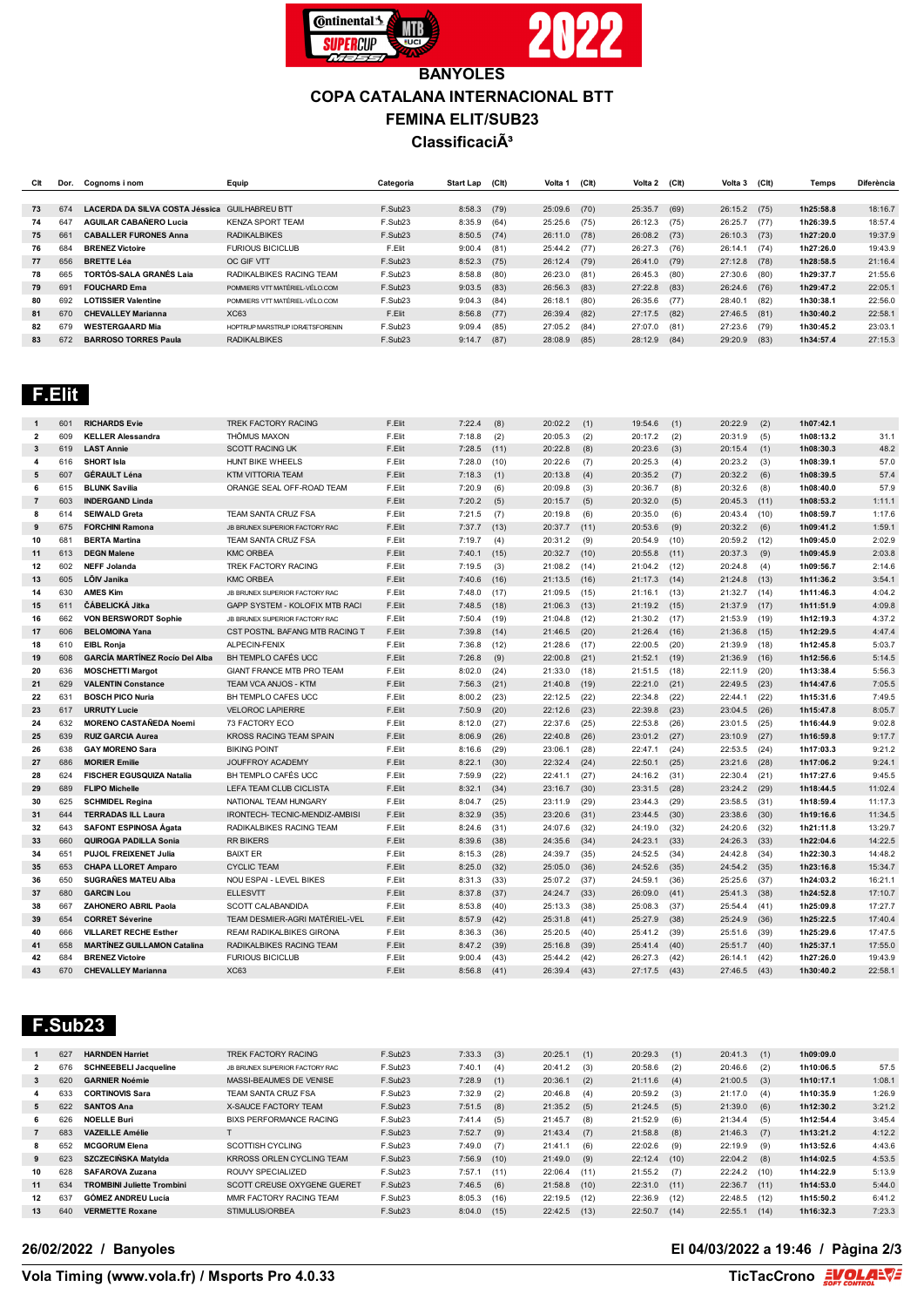

## **BANYOLES COPA CATALANA INTERNACIONAL BTT FEMINA ELIT/SUB23 Classificació**

| Clt | Dor. | Cognoms i nom                  | Equip                          | Categoria | Start Lap | (CIt) | Volta 1      | (CH) | Volta 2 | (C <sub>l</sub> ) | Volta 3        | (C <sub>It</sub> ) | Temps     | <b>Diferència</b> |
|-----|------|--------------------------------|--------------------------------|-----------|-----------|-------|--------------|------|---------|-------------------|----------------|--------------------|-----------|-------------------|
|     |      |                                |                                |           |           |       |              |      |         |                   |                |                    |           |                   |
| 73  | 674  | LACERDA DA SILVA COSTA Jéssica | <b>GUILHABREU BTT</b>          | F.Sub23   | 8:58.3    | (79)  | 25:09.6      | (70) | 25:35.7 | (69)              | 26:15.2        | (75)               | 1h25:58.8 | 18:16.7           |
| 74  | 647  | <b>AGUILAR CABAÑERO Lucia</b>  | <b>KENZA SPORT TEAM</b>        | F.Sub23   | 8:35.9    | (64)  | 25:25.6      | (75) | 26:12.3 | (75)              | 26:25.7        | (77)               | 1h26:39.5 | 18:57.4           |
| 75  | 661  | <b>CABALLER FURONES Anna</b>   | <b>RADIKALBIKES</b>            | F.Sub23   | 8:50.5    | (74)  | 26:11.0 (78) |      | 26:08.2 | (73)              | 26:10.3        | (73)               | 1h27:20.0 | 19:37.9           |
| 76  | 684  | <b>BRENEZ Victoire</b>         | <b>FURIOUS BICICLUB</b>        | F.Elit    | 9:00.4    | (81)  | 25:44.2 (77) |      | 26:27.3 | (76)              | 26:14.1        | (74)               | 1h27:26.0 | 19:43.9           |
| 77  | 656  | <b>BRETTE Léa</b>              | OC GIF VTT                     | F.Sub23   | 8:52.3    | (75)  | 26:12.4      | (79) | 26:41.0 | (79)              | $27:12.8$ (78) |                    | 1h28:58.5 | 21:16.4           |
| 78  | 665  | TORTÓS-SALA GRANÉS Laja        | RADIKALBIKES RACING TEAM       | F.Sub23   | 8:58.8    | (80)  | 26:23.0      | (81) | 26:45.3 | (80)              | 27:30.6        | (80)               | 1h29:37.7 | 21:55.6           |
| 79  | 691  | <b>FOUCHARD Ema</b>            | POMMIERS VTT MATÉRIEL-VÉLO.COM | F.Sub23   | 9:03.5    | (83)  | 26:56.3      | (83) | 27:22.8 | (83)              | 26:24.6        | (76)               | 1h29:47.2 | 22:05.1           |
| 80  | 692  | <b>LOTISSIER Valentine</b>     | POMMIERS VTT MATÉRIEL-VÉLO COM | F.Sub23   | 9:04.3    | (84)  | 26:18.1      | (80) | 26:35.6 | (77)              | 28:40.1        | (82)               | 1h30:38.1 | 22:56.0           |
| 81  | 670  | <b>CHEVALLEY Marianna</b>      | <b>XC63</b>                    | F.Elit    | 8:56.8    | (77)  | 26:39.4      | (82) | 27:17.5 | (82)              | 27:46.5        | (81)               | 1h30:40.2 | 22:58.1           |
| 82  | 679  | <b>WESTERGAARD Mia</b>         | HOPTRUP MARSTRUP IDRÆTSFORENIN | F.Sub23   | 9:09.4    | (85)  | 27:05.2      | (84) | 27:07.0 | (81)              | 27:23.6        | (79)               | 1h30:45.2 | 23:03.1           |
| 83  | 672  | <b>BARROSO TORRES Paula</b>    | <b>RADIKALBIKES</b>            | F.Sub23   | 9:14.7    | (87)  | 28:08.9      | (85) | 28:12.9 | (84)              | 29:20.9        | (83)               | 1h34:57.4 | 27:15.3           |

# **F.Elit**

| $\mathbf{1}$   | 601 | <b>RICHARDS Evie</b>                  | TREK FACTORY RACING                   | F.Elit | 7:22.4        | (8)  | 20:02.2 | (1)  | 19:54.6 | (1)  | 20:22.9 | (2)  | 1h07:42.1 |         |
|----------------|-----|---------------------------------------|---------------------------------------|--------|---------------|------|---------|------|---------|------|---------|------|-----------|---------|
| $\overline{2}$ | 609 | <b>KELLER Alessandra</b>              | THÖMUS MAXON                          | F.Elit | 7:18.8        | (2)  | 20:05.3 | (2)  | 20:17.2 | (2)  | 20:31.9 | (5)  | 1h08:13.2 | 31.1    |
| 3              | 619 | <b>LAST Annie</b>                     | <b>SCOTT RACING UK</b>                | F.Elit | 7:28.5        | (11) | 20:22.8 | (8)  | 20:23.6 | (3)  | 20:15.4 | (1)  | 1h08:30.3 | 48.2    |
| 4              | 616 | <b>SHORT Isla</b>                     | HUNT BIKE WHEELS                      | F.Elit | 7:28.0        | (10) | 20:22.6 | (7)  | 20:25.3 | (4)  | 20:23.2 | (3)  | 1h08:39.1 | 57.0    |
| 5              | 607 | <b>GÉRAULT Léna</b>                   | <b>KTM VITTORIA TEAM</b>              | F.Elit | 7:18.3        | (1)  | 20:13.8 | (4)  | 20:35.2 | (7)  | 20:32.2 | (6)  | 1h08:39.5 | 57.4    |
| 6              | 615 | <b>BLUNK Savilia</b>                  | ORANGE SEAL OFF-ROAD TEAM             | F.Elit | 7:20.9        | (6)  | 20:09.8 | (3)  | 20:36.7 | (8)  | 20:32.6 | (8)  | 1h08:40.0 | 57.9    |
| $\overline{7}$ | 603 | <b>INDERGAND Linda</b>                |                                       | F.Elit | 7:20.2        | (5)  | 20:15.7 | (5)  | 20:32.0 | (5)  | 20:45.3 | (11) | 1h08:53.2 | 1:11.1  |
| 8              | 614 | <b>SEIWALD Greta</b>                  | TEAM SANTA CRUZ FSA                   | F.Elit | 7:21.5        | (7)  | 20:19.8 | (6)  | 20:35.0 | (6)  | 20:43.4 | (10) | 1h08:59.7 | 1:17.6  |
| 9              | 675 | <b>FORCHINI Ramona</b>                | JB BRUNEX SUPERIOR FACTORY RAC        | F.Elit | 7:37.7        | (13) | 20:37.7 | (11) | 20:53.6 | (9)  | 20:32.2 | (6)  | 1h09:41.2 | 1:59.1  |
| 10             | 681 | <b>BERTA Martina</b>                  | TEAM SANTA CRUZ FSA                   | F.Elit | 7:19.7        | (4)  | 20:31.2 | (9)  | 20:54.9 | (10) | 20:59.2 | (12) | 1h09:45.0 | 2:02.9  |
| 11             | 613 | <b>DEGN Malene</b>                    | <b>KMC ORBEA</b>                      | F.Elit | 7:40.1        | (15) | 20:32.7 | (10) | 20:55.8 | (11) | 20:37.3 | (9)  | 1h09:45.9 | 2:03.8  |
| 12             | 602 | <b>NEFF Jolanda</b>                   | TREK FACTORY RACING                   | F.Elit | 7:19.5        | (3)  | 21:08.2 | (14) | 21:04.2 | (12) | 20:24.8 | (4)  | 1h09:56.7 | 2:14.6  |
| 13             | 605 | LÕIV Janika                           | <b>KMC ORBEA</b>                      | F.Elit | 7:40.6        | (16) | 21:13.5 | (16) | 21:17.3 | (14) | 21:24.8 | (13) | 1h11:36.2 | 3:54.1  |
| 14             | 630 | <b>AMES Kim</b>                       | JB BRUNEX SUPERIOR FACTORY RAC        | F.Elit | 7:48.0        | (17) | 21:09.5 | (15) | 21:16.1 | (13) | 21:32.7 | (14) | 1h11:46.3 | 4:04.2  |
| 15             | 611 | ČÁBELICKÁ Jitka                       | <b>GAPP SYSTEM - KOLOFIX MTB RACI</b> | F.Elit | 7:48.5        | (18) | 21:06.3 | (13) | 21:19.2 | (15) | 21:37.9 | (17) | 1h11:51.9 | 4:09.8  |
| 16             | 662 | VON BERSWORDT Sophie                  | JB BRUNEX SUPERIOR FACTORY RAC        | F.Elit | $7:50.4$ (19) |      | 21:04.8 | (12) | 21:30.2 | (17) | 21:53.9 | (19) | 1h12:19.3 | 4:37.2  |
| 17             | 606 | <b>BELOMOINA Yana</b>                 | CST POSTNL BAFANG MTB RACING T        | F.Elit | 7:39.8        | (14) | 21:46.5 | (20) | 21:26.4 | (16) | 21:36.8 | (15) | 1h12:29.5 | 4:47.4  |
| 18             | 610 | <b>EIBL Ronia</b>                     | ALPECIN-FENIX                         | F.Elit | 7:36.8        | (12) | 21:28.6 | (17) | 22:00.5 | (20) | 21:39.9 | (18) | 1h12:45.8 | 5:03.7  |
| 19             | 608 | <b>GARCÍA MARTÍNEZ Rocío Del Alba</b> | BH TEMPLO CAFÉS UCC                   | F.Elit | 7:26.8        | (9)  | 22:00.8 | (21) | 21:52.1 | (19) | 21:36.9 | (16) | 1h12:56.6 | 5:14.5  |
| 20             | 636 | <b>MOSCHETTI Margot</b>               | GIANT FRANCE MTB PRO TEAM             | F.Elit | 8:02.0        | (24) | 21:33.0 | (18) | 21:51.5 | (18) | 22:11.9 | (20) | 1h13:38.4 | 5:56.3  |
| 21             | 629 | <b>VALENTIN Constance</b>             | TEAM VCA ANJOS - KTM                  | F.Elit | 7:56.3        | (21) | 21:40.8 | (19) | 22:21.0 | (21) | 22:49.5 | (23) | 1h14:47.6 | 7:05.5  |
| 22             | 631 | <b>BOSCH PICO Nuria</b>               | BH TEMPLO CAFES UCC                   | F.Elit | 8:00.2        | (23) | 22:12.5 | (22) | 22:34.8 | (22) | 22:44.1 | (22) | 1h15:31.6 | 7:49.5  |
| 23             | 617 | <b>URRUTY Lucie</b>                   | <b>VELOROC LAPIERRE</b>               | F.Elit | 7:50.9        | (20) | 22:12.6 | (23) | 22:39.8 | (23) | 23:04.5 | (26) | 1h15:47.8 | 8:05.7  |
| 24             | 632 | <b>MORENO CASTAÑEDA Noemi</b>         | 73 FACTORY ECO                        | F.Elit | 8:12.0        | (27) | 22:37.6 | (25) | 22:53.8 | (26) | 23:01.5 | (25) | 1h16:44.9 | 9:02.8  |
| 25             | 639 | <b>RUIZ GARCIA Aurea</b>              | <b>KROSS RACING TEAM SPAIN</b>        | F.Elit | 8:06.9        | (26) | 22:40.8 | (26) | 23:01.2 | (27) | 23:10.9 | (27) | 1h16:59.8 | 9:17.7  |
| 26             | 638 | <b>GAY MORENO Sara</b>                | <b>BIKING POINT</b>                   | F.Elit | 8:16.6        | (29) | 23:06.1 | (28) | 22:47.1 | (24) | 22:53.5 | (24) | 1h17:03.3 | 9:21.2  |
| 27             | 686 | <b>MORIER Emilie</b>                  | JOUFFROY ACADEMY                      | F.Elit | 8:22.1        | (30) | 22:32.4 | (24) | 22:50.1 | (25) | 23:21.6 | (28) | 1h17:06.2 | 9:24.1  |
| 28             | 624 | <b>FISCHER EGUSQUIZA Natalia</b>      | BH TEMPLO CAFÉS UCC.                  | F.Elit | 7:59.9        | (22) | 22:41.1 | (27) | 24:16.2 | (31) | 22:30.4 | (21) | 1h17:27.6 | 9:45.5  |
| 29             | 689 | <b>FLIPO Michelle</b>                 | LEFA TEAM CLUB CICLISTA               | F.Elit | 8:32.1        | (34) | 23:16.7 | (30) | 23:31.5 | (28) | 23:24.2 | (29) | 1h18:44.5 | 11:02.4 |
| 30             | 625 | <b>SCHMIDEL Regina</b>                | NATIONAL TEAM HUNGARY                 | F.Elit | 8:04.7        | (25) | 23:11.9 | (29) | 23:44.3 | (29) | 23:58.5 | (31) | 1h18:59.4 | 11:17.3 |
| 31             | 644 | <b>TERRADAS ILL Laura</b>             | IRONTECH- TECNIC-MENDIZ-AMBISI        | F.Elit | 8:32.9        | (35) | 23:20.6 | (31) | 23:44.5 | (30) | 23:38.6 | (30) | 1h19:16.6 | 11:34.5 |
| 32             | 643 | <b>SAFONT ESPINOSA Ágata</b>          | RADIKALBIKES RACING TEAM              | F.Elit | 8:24.6        | (31) | 24:07.6 | (32) | 24:19.0 | (32) | 24:20.6 | (32) | 1h21:11.8 | 13:29.7 |
| 33             | 660 | <b>QUIROGA PADILLA Sonia</b>          | <b>RR BIKERS</b>                      | F.Elit | 8:39.6        | (38) | 24:35.6 | (34) | 24:23.1 | (33) | 24:26.3 | (33) | 1h22:04.6 | 14:22.5 |
| 34             | 651 | <b>PUJOL FREIXENET Julia</b>          | <b>BAIXTER</b>                        | F.Elit | 8:15.3        | (28) | 24:39.7 | (35) | 24:52.5 | (34) | 24:42.8 | (34) | 1h22:30.3 | 14:48.2 |
| 35             | 653 | <b>CHAPA LLORET Amparo</b>            | <b>CYCLIC TEAM</b>                    | F.Elit | 8:25.0        | (32) | 25:05.0 | (36) | 24:52.6 | (35) | 24:54.2 | (35) | 1h23:16.8 | 15:34.7 |
| 36             | 650 | <b>SUGRAÑES MATEU Alba</b>            | NOU ESPAI - LEVEL BIKES               | F.Elit | 8:31.3        | (33) | 25:07.2 | (37) | 24:59.1 | (36) | 25:25.6 | (37) | 1h24:03.2 | 16:21.1 |
| 37             | 680 | <b>GARCIN Lou</b>                     | <b>ELLESVTT</b>                       | F.Elit | 8:37.8        | (37) | 24:24.7 | (33) | 26:09.0 | (41) | 25:41.3 | (38) | 1h24:52.8 | 17:10.7 |
| 38             | 667 | <b>ZAHONERO ABRIL Paola</b>           | SCOTT CALABANDIDA                     | F.Elit | 8:53.8        | (40) | 25:13.3 | (38) | 25:08.3 | (37) | 25:54.4 | (41) | 1h25:09.8 | 17:27.7 |
| 39             | 654 | <b>CORRET Séverine</b>                | TEAM DESMIER-AGRI MATÉRIEL-VEL        | F.Elit | 8:57.9        | (42) | 25:31.8 | (41) | 25:27.9 | (38) | 25:24.9 | (36) | 1h25:22.5 | 17:40.4 |
| 40             | 666 | <b>VILLARET RECHE Esther</b>          | <b>REAM RADIKALBIKES GIRONA</b>       | F.Elit | 8:36.3        | (36) | 25:20.5 | (40) | 25:41.2 | (39) | 25:51.6 | (39) | 1h25:29.6 | 17:47.5 |
| 41             | 658 | <b>MARTÍNEZ GUILLAMON Catalina</b>    | RADIKALBIKES RACING TEAM              | F.Elit | 8:47.2        | (39) | 25:16.8 | (39) | 25:41.4 | (40) | 25:51.7 | (40) | 1h25:37.1 | 17:55.0 |
| 42             | 684 | <b>BRENEZ Victoire</b>                | <b>FURIOUS BICICLUB</b>               | F.Elit | 9:00.4        | (43) | 25:44.2 | (42) | 26:27.3 | (42) | 26:14.1 | (42) | 1h27:26.0 | 19:43.9 |
| 43             | 670 | <b>CHEVALLEY Marianna</b>             | <b>XC63</b>                           | F.Elit | 8:56.8        | (41) | 26:39.4 | (43) | 27:17.5 | (43) | 27:46.5 | (43) | 1h30:40.2 | 22:58.1 |

#### **F.Sub23**

|                | 627 | <b>HARNDEN Harriet</b>            | <b>TREK FACTORY RACING</b>     | F.Sub23 | 7:33.3 | (3)  | 20:25.1        | (1)  | 20:29.3        | (1)  | 20:41.3 | (1)  | 1h09:09.0 |        |
|----------------|-----|-----------------------------------|--------------------------------|---------|--------|------|----------------|------|----------------|------|---------|------|-----------|--------|
| $\overline{2}$ | 676 | <b>SCHNEEBELI Jacqueline</b>      | JB BRUNEX SUPERIOR FACTORY RAC | F.Sub23 | 7:40.1 | (4)  | 20:41.2        | (3)  | 20:58.6        | (2)  | 20:46.6 | (2)  | 1h10:06.5 | 57.5   |
| 3              | 620 | <b>GARNIER Noémie</b>             | MASSI-BEAUMES DE VENISE        | F.Sub23 | 7:28.9 | (1)  | 20:36.1        | (2)  | 21:11.6        | (4)  | 21:00.5 | (3)  | 1h10:17.1 | 1:08.1 |
|                | 633 | <b>CORTINOVIS Sara</b>            | TEAM SANTA CRUZ FSA            | F.Sub23 | 7:32.9 | (2)  | 20:46.8        | (4)  | 20:59.2        | (3)  | 21:17.0 | (4)  | 1h10:35.9 | 1:26.9 |
| 5              | 622 | <b>SANTOS Ana</b>                 | <b>X-SAUCE FACTORY TEAM</b>    | F.Sub23 | 7:51.5 | (8)  | 21:35.2        | (5)  | 21:24.5        | (5)  | 21:39.0 | (6)  | 1h12:30.2 | 3:21.2 |
| 6.             | 626 | <b>NOELLE Buri</b>                | BIXS PERFORMANCE RACING        | F.Sub23 | 7:41.4 | (5)  | 21:45.7        | (8)  | 21:52.9        | (6)  | 21:34.4 | (5)  | 1h12:54.4 | 3:45.4 |
|                | 683 | <b>VAZEILLE Amélie</b>            |                                | F.Sub23 | 7:52.7 | (9)  | 21:43.4        | (7)  | 21:58.8        | (8)  | 21:46.3 | (7)  | 1h13:21.2 | 4:12.2 |
| 8              | 652 | <b>MCGORUM Elena</b>              | SCOTTISH CYCLING               | F.Sub23 | 7:49.0 | (7)  | 21:41.1        | (6)  | 22:02.6        | (9)  | 22:19.9 | (9)  | 1h13:52.6 | 4:43.6 |
| 9              | 623 | SZCZECIŃSKA Matvida               | KRROSS ORLEN CYCLING TEAM      | F.Sub23 | 7:56.9 | (10) | 21:49.0        | (9)  | 22:12.4        | (10) | 22:04.2 | (8)  | 1h14:02.5 | 4:53.5 |
| 10             | 628 | <b>SAFAROVA Zuzana</b>            | ROUVY SPECIALIZED              | F.Sub23 | 7:57.1 | (11) | 22:06.4        | (11) | 21:55.2        | (7)  | 22:24.2 | (10) | 1h14:22.9 | 5:13.9 |
| 11             | 634 | <b>TROMBINI Juliette Trombini</b> | SCOTT CREUSE OXYGENE GUERET    | F.Sub23 | 7:46.5 | (6)  | $21:58.8$ (10) |      | $22:31.0$ (11) |      | 22:36.7 | (11) | 1h14:53.0 | 5:44.0 |
| 12             | 637 | <b>GÓMEZ ANDREU Lucía</b>         | MMR FACTORY RACING TEAM        | F.Sub23 | 8:05.3 | (16) | 22:19.5        | (12) | 22:36.9        | (12) | 22:48.5 | (12) | 1h15:50.2 | 6:41.2 |
| 13             | 640 | <b>VERMETTE Roxane</b>            | STIMULUS/ORBEA                 | F.Sub23 | 8:04.0 | (15) | 22:42.5        | (13) | 22:50.7        | (14) | 22:55.1 | (14) | 1h16:32.3 | 7:23.3 |
|                |     |                                   |                                |         |        |      |                |      |                |      |         |      |           |        |

#### **26/02/2022 / Banyoles El 04/03/2022 a 19:46 / Pàgina 2/3**